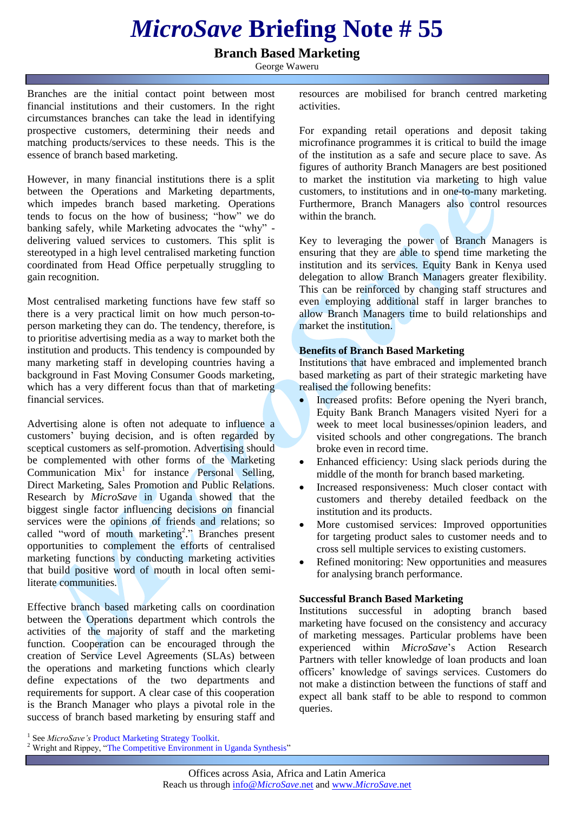# *MicroSave* **Briefing Note # 55**

## **Branch Based Marketing**

George Waweru

Branches are the initial contact point between most financial institutions and their customers. In the right circumstances branches can take the lead in identifying prospective customers, determining their needs and matching products/services to these needs. This is the essence of branch based marketing.

However, in many financial institutions there is a split between the Operations and Marketing departments, which impedes branch based marketing. Operations tends to focus on the how of business; "how" we do banking safely, while Marketing advocates the "why" delivering valued services to customers. This split is stereotyped in a high level centralised marketing function coordinated from Head Office perpetually struggling to gain recognition.

Most centralised marketing functions have few staff so there is a very practical limit on how much person-toperson marketing they can do. The tendency, therefore, is to prioritise advertising media as a way to market both the institution and products. This tendency is compounded by many marketing staff in developing countries having a background in Fast Moving Consumer Goods marketing, which has a very different focus than that of marketing financial services.

Advertising alone is often not adequate to influence a customers' buying decision, and is often regarded by sceptical customers as self-promotion. Advertising should be complemented with other forms of the Marketing  $Commonization$   $Mix<sup>1</sup>$  for instance Personal Selling, Direct Marketing, Sales Promotion and Public Relations*.* Research by *MicroSave* in Uganda showed that the biggest single factor influencing decisions on financial services were the opinions of friends and relations; so called "word of mouth marketing<sup>2</sup>." Branches present opportunities to complement the efforts of centralised marketing functions by conducting marketing activities that build positive word of mouth in local often semiliterate communities.

Effective branch based marketing calls on coordination between the Operations department which controls the activities of the majority of staff and the marketing function. Cooperation can be encouraged through the creation of Service Level Agreements (SLAs) between the operations and marketing functions which clearly define expectations of the two departments and requirements for support. A clear case of this cooperation is the Branch Manager who plays a pivotal role in the success of branch based marketing by ensuring staff and

resources are mobilised for branch centred marketing activities.

For expanding retail operations and deposit taking microfinance programmes it is critical to build the image of the institution as a safe and secure place to save. As figures of authority Branch Managers are best positioned to market the institution via marketing to high value customers, to institutions and in one-to-many marketing. Furthermore, Branch Managers also control resources within the branch.

Key to leveraging the power of Branch Managers is ensuring that they are able to spend time marketing the institution and its services. Equity Bank in Kenya used delegation to allow Branch Managers greater flexibility. This can be reinforced by changing staff structures and even employing additional staff in larger branches to allow Branch Managers time to build relationships and market the institution

### **Benefits of Branch Based Marketing**

Institutions that have embraced and implemented branch based marketing as part of their strategic marketing have realised the following benefits:

- Increased profits: Before opening the Nyeri branch, Equity Bank Branch Managers visited Nyeri for a week to meet local businesses/opinion leaders, and visited schools and other congregations. The branch broke even in record time.
- Enhanced efficiency: Using slack periods during the middle of the month for branch based marketing.
- Increased responsiveness: Much closer contact with customers and thereby detailed feedback on the institution and its products.
- More customised services: Improved opportunities for targeting product sales to customer needs and to cross sell multiple services to existing customers.
- Refined monitoring: New opportunities and measures for analysing branch performance.

### **Successful Branch Based Marketing**

Institutions successful in adopting branch based marketing have focused on the consistency and accuracy of marketing messages. Particular problems have been experienced within *MicroSave*'s Action Research Partners with teller knowledge of loan products and loan officers' knowledge of savings services. Customers do not make a distinction between the functions of staff and expect all bank staff to be able to respond to common queries.

<sup>&</sup>lt;sup>1</sup> See *MicroSave's* [Product Marketing Strategy Toolkit.](http://www.microsave.org/toolkit/product-marketing-toolkit)

<sup>&</sup>lt;sup>2</sup> Wright and Rippey, ["The Competitive Environment in Uganda Synthesis"](http://www.microsave.org/research_paper/the-competitive-environment-in-ugandaimplications-for-microfinance-institutions-and-t)